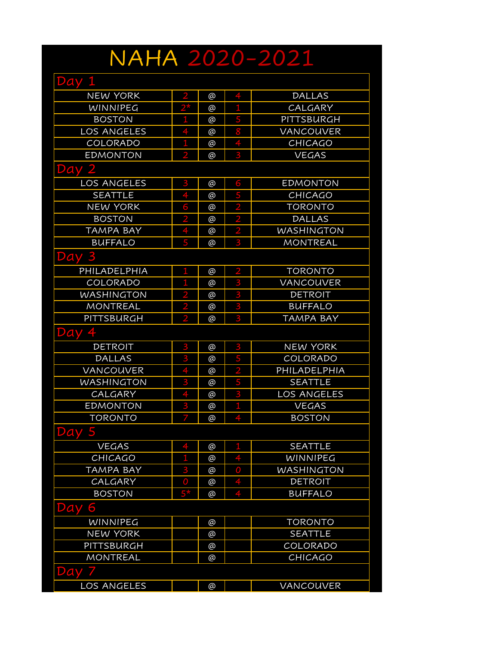## NAHA 2020-2021

| Day<br>H           |                |          |                |                   |
|--------------------|----------------|----------|----------------|-------------------|
| <b>NEW YORK</b>    | $\overline{2}$ | @        |                | <b>DALLAS</b>     |
| <b>WINNIPEG</b>    | $2^{\star}$    | $\omega$ | 1              | CALGARY           |
| <b>BOSTON</b>      | 1              | @        | 5              | PITTSBURGH        |
| <b>LOS ANGELES</b> |                | @        | 8              | <b>VANCOUVER</b>  |
| <b>COLORADO</b>    | $\mathbf{1}$   | @        | 4              | <b>CHICAGO</b>    |
| <b>EDMONTON</b>    | 2              | @        | 3              | <b>VEGAS</b>      |
| Day 2              |                |          |                |                   |
| <b>LOS ANGELES</b> | 3              | @        | 6              | <b>EDMONTON</b>   |
| <b>SEATTLE</b>     | 4              | @        | 5              | <b>CHICAGO</b>    |
| <b>NEW YORK</b>    | 6              | @        | $\overline{2}$ | <b>TORONTO</b>    |
| <b>BOSTON</b>      | 2              | @        | $\overline{2}$ | <b>DALLAS</b>     |
| <b>TAMPA BAY</b>   |                | @        | $\overline{2}$ | <b>WASHINGTON</b> |
| <b>BUFFALO</b>     | 5              | @        | 3              | <b>MONTREAL</b>   |
| Day                |                |          |                |                   |
| PHILADELPHIA       | 1              | @        | 2              | <b>TORONTO</b>    |
| COLORADO           | 1              | @        | 3              | VANCOUVER         |
| <b>WASHINGTON</b>  | 2              | @        | 3              | <b>DETROIT</b>    |
| MONTREAL           | 2              | @        | 3              | <b>BUFFALO</b>    |
| PITTSBURGH         | $\overline{2}$ | @        | 3              | <b>TAMPA BAY</b>  |
| Day                |                |          |                |                   |
| <b>DETROIT</b>     | 3              | @        | 3              | <b>NEW YORK</b>   |
| <b>DALLAS</b>      | 3              | @        | 5              | COLORADO          |
| VANCOUVER          |                | @        | $\overline{2}$ | PHILADELPHIA      |
| <b>WASHINGTON</b>  | 3              | @        | 5              | <b>SEATTLE</b>    |
| CALGARY            |                | @        | 3              | LOS ANGELES       |
| <b>EDMONTON</b>    | 3              | @        | 1              | <b>VEGAS</b>      |
| <b>TORONTO</b>     | 7              | @        |                | <b>BOSTON</b>     |
| 5<br>Day           |                |          |                |                   |
| <b>VEGAS</b>       |                | @        | 1              | <b>SEATTLE</b>    |
| <b>CHICAGO</b>     | 1              | @        |                | WINNIPEG          |
| <b>TAMPA BAY</b>   | 3              | @        | 0              | <b>WASHINGTON</b> |
| CALGARY            | $\overline{0}$ | @        | 4              | <b>DETROIT</b>    |
| <b>BOSTON</b>      | $5*$           | $\omega$ | 4              | <b>BUFFALO</b>    |
| 6<br>Day           |                |          |                |                   |
| WINNIPEG           |                | @        |                | <b>TORONTO</b>    |
| <b>NEW YORK</b>    |                | @        |                | <b>SEATTLE</b>    |
| PITTSBURGH         |                | @        |                | COLORADO          |
| <b>MONTREAL</b>    |                | @        |                | <b>CHICAGO</b>    |
| Day                |                |          |                |                   |
| <b>LOS ANGELES</b> |                | @        |                | VANCOUVER         |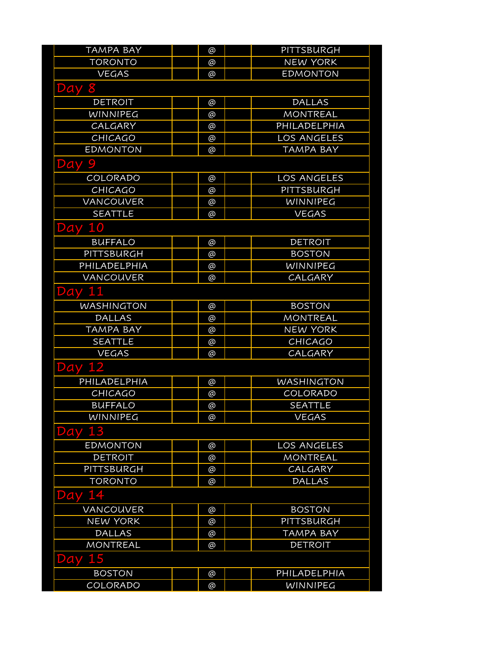| <b>TAMPA BAY</b>  | @        | PITTSBURGH        |
|-------------------|----------|-------------------|
| <b>TORONTO</b>    | @        | <b>NEW YORK</b>   |
| <b>VEGAS</b>      | @        | <b>EDMONTON</b>   |
| 8<br>Day          |          |                   |
| <b>DETROIT</b>    | @        | <b>DALLAS</b>     |
| <b>WINNIPEG</b>   | @        | <b>MONTREAL</b>   |
| CALGARY           | $\omega$ | PHILADELPHIA      |
| <b>CHICAGO</b>    | @        | LOS ANGELES       |
| <b>EDMONTON</b>   | @        | <b>TAMPA BAY</b>  |
| Day 9             |          |                   |
| COLORADO          | @        | LOS ANGELES       |
| <b>CHICAGO</b>    | @        | PITTSBURGH        |
| VANCOUVER         | @        | WINNIPEG          |
| <b>SEATTLE</b>    | @        | <b>VEGAS</b>      |
| Day 10            |          |                   |
| <b>BUFFALO</b>    | @        | <b>DETROIT</b>    |
| PITTSBURGH        | @        | <b>BOSTON</b>     |
| PHILADELPHIA      | @        | WINNIPEG          |
| <b>VANCOUVER</b>  | @        | CALGARY           |
| <b>Day 11</b>     |          |                   |
| <b>WASHINGTON</b> | @        | <b>BOSTON</b>     |
| <b>DALLAS</b>     | @        | <b>MONTREAL</b>   |
| <b>TAMPA BAY</b>  | @        | <b>NEW YORK</b>   |
| <b>SEATTLE</b>    | @        | <b>CHICAGO</b>    |
| <b>VEGAS</b>      | @        | <b>CALGARY</b>    |
| <b>Day 12</b>     |          |                   |
| PHILADELPHIA      | @        | <b>WASHINGTON</b> |
| CHICAGO           | @        | COLORADO          |
| <b>BUFFALO</b>    | @        | <b>SEATTLE</b>    |
| WINNIPEG          | @        | <b>VEGAS</b>      |
| 13<br>Day         |          |                   |
| <b>EDMONTON</b>   | @        | LOS ANGELES       |
| <b>DETROIT</b>    | $\omega$ | <b>MONTREAL</b>   |
| PITTSBURGH        | @        | CALGARY           |
| <b>TORONTO</b>    | @        | <b>DALLAS</b>     |
| 14<br>Day         |          |                   |
| VANCOUVER         | @        | <b>BOSTON</b>     |
| <b>NEW YORK</b>   | @        | <b>PITTSBURGH</b> |
| <b>DALLAS</b>     | $\omega$ | <b>TAMPA BAY</b>  |
| <b>MONTREAL</b>   | @        | <b>DETROIT</b>    |
| <b>Day 15</b>     |          |                   |
| <b>BOSTON</b>     | @        | PHILADELPHIA      |
| COLORADO          | $\omega$ | WINNIPEG          |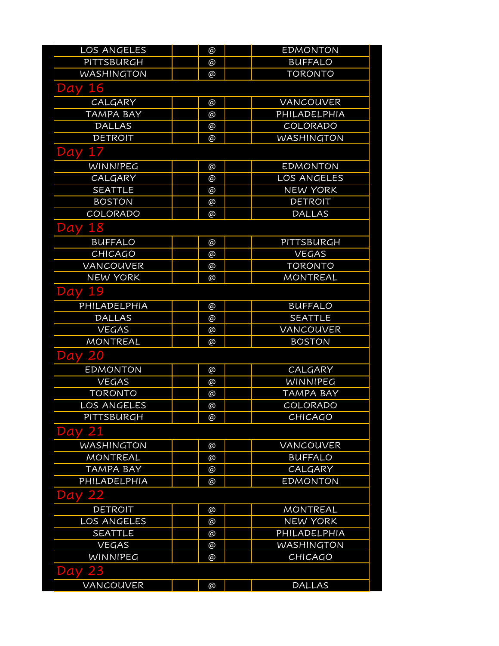| LOS ANGELES        | @        | <b>EDMONTON</b>   |
|--------------------|----------|-------------------|
| PITTSBURGH         | @        | <b>BUFFALO</b>    |
| <b>WASHINGTON</b>  | @        | <b>TORONTO</b>    |
| 16<br>Day          |          |                   |
| CALGARY            | @        | <b>VANCOUVER</b>  |
| <b>TAMPA BAY</b>   | @        | PHILADELPHIA      |
| <b>DALLAS</b>      | $\omega$ | COLORADO          |
| <b>DETROIT</b>     | @        | <b>WASHINGTON</b> |
| 17<br>Day          |          |                   |
| WINNIPEG           | @        | <b>EDMONTON</b>   |
| CALGARY            | @        | LOS ANGELES       |
| <b>SEATTLE</b>     | @        | <b>NEW YORK</b>   |
| <b>BOSTON</b>      | @        | <b>DETROIT</b>    |
| COLORADO           | @        | <b>DALLAS</b>     |
| <b>Day 18</b>      |          |                   |
| <b>BUFFALO</b>     | @        | PITTSBURGH        |
| <b>CHICAGO</b>     | @        | <b>VEGAS</b>      |
| <b>VANCOUVER</b>   | @        | <b>TORONTO</b>    |
| <b>NEW YORK</b>    | @        | <b>MONTREAL</b>   |
| Day 19             |          |                   |
| PHILADELPHIA       | @        | <b>BUFFALO</b>    |
| <b>DALLAS</b>      | @        | <b>SEATTLE</b>    |
| <b>VEGAS</b>       | @        | VANCOUVER         |
| <b>MONTREAL</b>    | @        | <b>BOSTON</b>     |
| <b>Day 20</b>      |          |                   |
| <b>EDMONTON</b>    | @        | CALGARY           |
| <b>VEGAS</b>       | @        | WINNIPEG          |
| <b>TORONTO</b>     | @        | TAMPA BAY         |
| LOS ANGELES        | @        | COLORADO          |
| PITTSBURGH         | @        | <b>CHICAGO</b>    |
| Day                |          |                   |
| <b>WASHINGTON</b>  | @        | VANCOUVER         |
| <b>MONTREAL</b>    | @        | <b>BUFFALO</b>    |
| <b>TAMPA BAY</b>   | @        | CALGARY           |
| PHILADELPHIA       | @        | <b>EDMONTON</b>   |
| Day                |          |                   |
| <b>DETROIT</b>     | @        | <b>MONTREAL</b>   |
| <b>LOS ANGELES</b> | @        | <b>NEW YORK</b>   |
| <b>SEATTLE</b>     | @        | PHILADELPHIA      |
| <b>VEGAS</b>       | @        | <b>WASHINGTON</b> |
| <b>WINNIPEG</b>    | @        | <b>CHICAGO</b>    |
| 23<br>Day          |          |                   |
| VANCOUVER          | @        | <b>DALLAS</b>     |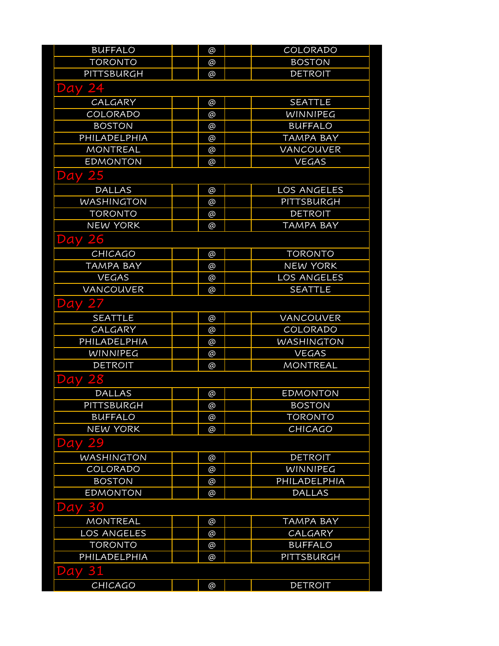| <b>BUFFALO</b>    | @ | COLORADO           |
|-------------------|---|--------------------|
| <b>TORONTO</b>    | @ | <b>BOSTON</b>      |
| PITTSBURGH        | @ | <b>DETROIT</b>     |
| <b>Day 24</b>     |   |                    |
| CALGARY           | @ | <b>SEATTLE</b>     |
| COLORADO          | @ | WINNIPEG           |
| <b>BOSTON</b>     | @ | <b>BUFFALO</b>     |
| PHILADELPHIA      | @ | <b>TAMPA BAY</b>   |
| MONTREAL          | @ | VANCOUVER          |
| <b>EDMONTON</b>   | @ | <b>VEGAS</b>       |
| <b>Day 25</b>     |   |                    |
| <b>DALLAS</b>     | @ | LOS ANGELES        |
| <b>WASHINGTON</b> | @ | PITTSBURGH         |
| <b>TORONTO</b>    | @ | <b>DETROIT</b>     |
| <b>NEW YORK</b>   | @ | <b>TAMPA BAY</b>   |
| <b>Day 26</b>     |   |                    |
| CHICAGO           | @ | <b>TORONTO</b>     |
| <b>TAMPA BAY</b>  | @ | <b>NEW YORK</b>    |
| <b>VEGAS</b>      | @ | <b>LOS ANGELES</b> |
| <b>VANCOUVER</b>  | @ | <b>SEATTLE</b>     |
| Day 27            |   |                    |
| <b>SEATTLE</b>    | @ | VANCOUVER          |
| CALGARY           | @ | COLORADO           |
| PHILADELPHIA      | @ | <b>WASHINGTON</b>  |
| <b>WINNIPEG</b>   | @ | <b>VEGAS</b>       |
| <b>DETROIT</b>    | @ | <b>MONTREAL</b>    |
| <b>Day 28</b>     |   |                    |
| <b>DALLAS</b>     | @ | <b>EDMONTON</b>    |
| PITTSBURGH        | @ | <b>BOSTON</b>      |
| <b>BUFFALO</b>    | @ | <b>TORONTO</b>     |
| <b>NEW YORK</b>   | @ | CHICAGO            |
| 29<br>Day         |   |                    |
| <b>WASHINGTON</b> | @ | <b>DETROIT</b>     |
| COLORADO          | @ | WINNIPEG           |
| <b>BOSTON</b>     | @ | PHILADELPHIA       |
| <b>EDMONTON</b>   | @ | <b>DALLAS</b>      |
| 30<br>Day         |   |                    |
| <b>MONTREAL</b>   | @ | <b>TAMPA BAY</b>   |
| LOS ANGELES       | @ | CALGARY            |
| <b>TORONTO</b>    | @ | <b>BUFFALO</b>     |
| PHILADELPHIA      | @ | <b>PITTSBURGH</b>  |
| 31<br>Day         |   |                    |
| CHICAGO           | @ | <b>DETROIT</b>     |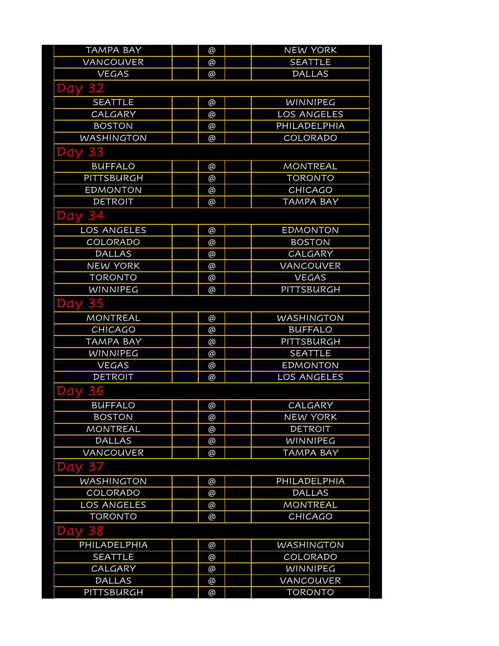| <b>TAMPA BAY</b>   | @ | <b>NEW YORK</b>   |
|--------------------|---|-------------------|
| VANCOUVER          | @ | <b>SEATTLE</b>    |
| <b>VEGAS</b>       | @ | <b>DALLAS</b>     |
| <b>Day 32</b>      |   |                   |
| <b>SEATTLE</b>     | @ | WINNIPEG          |
| CALGARY            | @ | LOS ANGELES       |
| <b>BOSTON</b>      | @ | PHILADELPHIA      |
| <b>WASHINGTON</b>  | @ | COLORADO          |
| <b>Day 33</b>      |   |                   |
| <b>BUFFALO</b>     | @ | <b>MONTREAL</b>   |
| PITTSBURGH         | @ | <b>TORONTO</b>    |
| <b>EDMONTON</b>    | @ | <b>CHICAGO</b>    |
| <b>DETROIT</b>     | @ | <b>TAMPA BAY</b>  |
| Day 3.             |   |                   |
| <b>LOS ANGELES</b> | @ | <b>EDMONTON</b>   |
| COLORADO           | @ | <b>BOSTON</b>     |
| <b>DALLAS</b>      | @ | CALGARY           |
| <b>NEW YORK</b>    | @ | VANCOUVER         |
| <b>TORONTO</b>     | @ | <b>VEGAS</b>      |
| WINNIPEG           | @ | <b>PITTSBURGH</b> |
| <b>Day 35</b>      |   |                   |
| MONTREAL           | @ | <b>WASHINGTON</b> |
| <b>CHICAGO</b>     | @ | <b>BUFFALO</b>    |
| <b>TAMPA BAY</b>   | @ | PITTSBURGH        |
| WINNIPEG           | @ | <b>SEATTLE</b>    |
| <b>VEGAS</b>       | @ | <b>EDMONTON</b>   |
| <b>DETROIT</b>     | @ | LOS ANGELES       |
| 36<br>Day          |   |                   |
| <b>BUFFALO</b>     | @ | CALGARY           |
| <b>BOSTON</b>      | @ | <b>NEW YORK</b>   |
| <b>MONTREAL</b>    | @ | <b>DETROIT</b>    |
| <b>DALLAS</b>      | @ | WINNIPEG          |
| <b>VANCOUVER</b>   | @ | <b>TAMPA BAY</b>  |
| <b>Day 37</b>      |   |                   |
| <b>WASHINGTON</b>  | @ | PHILADELPHIA      |
| COLORADO           | @ | <b>DALLAS</b>     |
| LOS ANGELES        | @ | <b>MONTREAL</b>   |
| <b>TORONTO</b>     | @ | <b>CHICAGO</b>    |
| <b>Day 38</b>      |   |                   |
| PHILADELPHIA       | @ | <b>WASHINGTON</b> |
| <b>SEATTLE</b>     | @ | COLORADO          |
| CALGARY            | @ | WINNIPEG          |
| <b>DALLAS</b>      | @ | VANCOUVER         |
| PITTSBURGH         | @ | <b>TORONTO</b>    |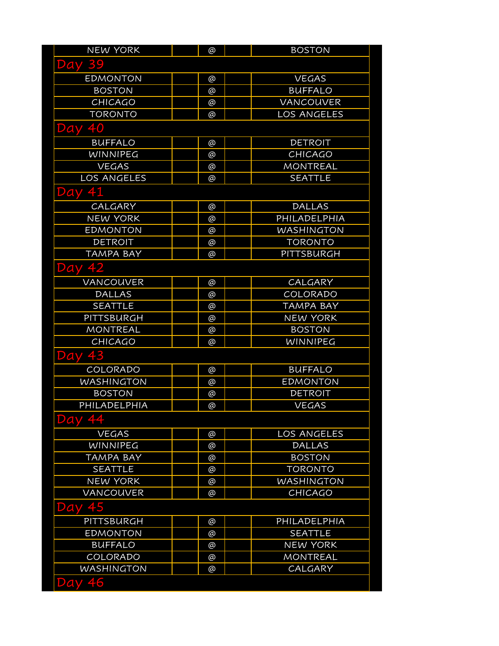| <b>NEW YORK</b>    | @ | <b>BOSTON</b>     |
|--------------------|---|-------------------|
| <b>Day 39</b>      |   |                   |
| <b>EDMONTON</b>    | @ | <b>VEGAS</b>      |
| <b>BOSTON</b>      | @ | <b>BUFFALO</b>    |
| CHICAGO            | @ | <b>VANCOUVER</b>  |
| <b>TORONTO</b>     | @ | LOS ANGELES       |
| <b>Day 40</b>      |   |                   |
| <b>BUFFALO</b>     | @ | <b>DETROIT</b>    |
| <b>WINNIPEG</b>    | @ | <b>CHICAGO</b>    |
| <b>VEGAS</b>       | @ | <b>MONTREAL</b>   |
| <b>LOS ANGELES</b> | @ | <b>SEATTLE</b>    |
| Day 41             |   |                   |
| CALGARY            | @ | <b>DALLAS</b>     |
| <b>NEW YORK</b>    | @ | PHILADELPHIA      |
| <b>EDMONTON</b>    | @ | <b>WASHINGTON</b> |
| <b>DETROIT</b>     | @ | <b>TORONTO</b>    |
| <b>TAMPA BAY</b>   | @ | PITTSBURGH        |
| 45<br>Day          |   |                   |
| <b>VANCOUVER</b>   | @ | CALGARY           |
| <b>DALLAS</b>      | @ | COLORADO          |
| <b>SEATTLE</b>     | @ | <b>TAMPA BAY</b>  |
| PITTSBURGH         | @ | <b>NEW YORK</b>   |
| <b>MONTREAL</b>    | @ | <b>BOSTON</b>     |
| CHICAGO            | @ | WINNIPEG          |
| <b>Day 43</b>      |   |                   |
| COLORADO           | @ | <b>BUFFALO</b>    |
| <b>WASHINGTON</b>  | @ | <b>EDMONTON</b>   |
| <b>BOSTON</b>      | @ | <b>DETROIT</b>    |
| PHILADELPHIA       | @ | <b>VEGAS</b>      |
| $\sqrt{4}$<br>Dav  |   |                   |
| <b>VEGAS</b>       | @ | LOS ANGELES       |
| <b>WINNIPEG</b>    | @ | <b>DALLAS</b>     |
| <b>TAMPA BAY</b>   | @ | <b>BOSTON</b>     |
| <b>SEATTLE</b>     | @ | <b>TORONTO</b>    |
| <b>NEW YORK</b>    | @ | <b>WASHINGTON</b> |
| VANCOUVER          | @ | <b>CHICAGO</b>    |
| 45<br>Day          |   |                   |
| <b>PITTSBURGH</b>  | @ | PHILADELPHIA      |
| <b>EDMONTON</b>    | @ | <b>SEATTLE</b>    |
| <b>BUFFALO</b>     | @ | <b>NEW YORK</b>   |
| COLORADO           | @ | <b>MONTREAL</b>   |
| <b>WASHINGTON</b>  | @ | CALGARY           |
| 46<br>Day          |   |                   |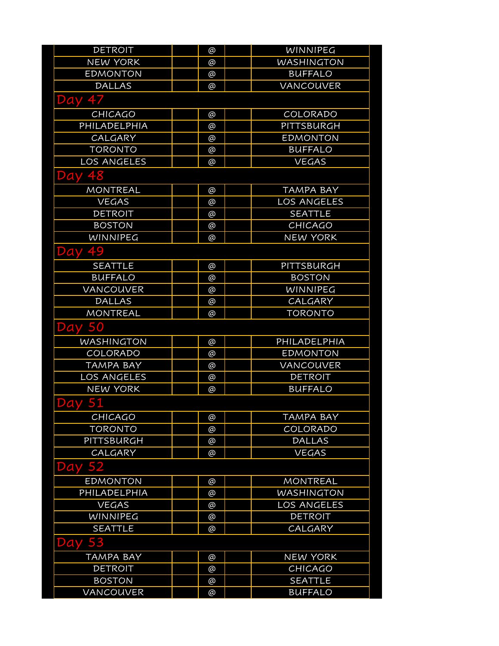| <b>DETROIT</b>     | @        | WINNIPEG           |
|--------------------|----------|--------------------|
| <b>NEW YORK</b>    | @        | <b>WASHINGTON</b>  |
| <b>EDMONTON</b>    | @        | <b>BUFFALO</b>     |
| <b>DALLAS</b>      | @        | VANCOUVER          |
| Day 47             |          |                    |
| <b>CHICAGO</b>     | @        | COLORADO           |
| PHILADELPHIA       | @        | PITTSBURGH         |
| <b>CALGARY</b>     | @        | <b>EDMONTON</b>    |
| <b>TORONTO</b>     | @        | <b>BUFFALO</b>     |
| <b>LOS ANGELES</b> | @        | <b>VEGAS</b>       |
| 48<br>Day          |          |                    |
| <b>MONTREAL</b>    | @        | <b>TAMPA BAY</b>   |
| <b>VEGAS</b>       | @        | <b>LOS ANGELES</b> |
| <b>DETROIT</b>     | @        | <b>SEATTLE</b>     |
| <b>BOSTON</b>      | @        | <b>CHICAGO</b>     |
| <b>WINNIPEG</b>    | @        | <b>NEW YORK</b>    |
| 49<br>Day          |          |                    |
| <b>SEATTLE</b>     | @        | PITTSBURGH         |
| <b>BUFFALO</b>     | @        | <b>BOSTON</b>      |
| <b>VANCOUVER</b>   | @        | WINNIPEG           |
| <b>DALLAS</b>      | @        | CALGARY            |
| <b>MONTREAL</b>    | @        | <b>TORONTO</b>     |
| <b>Day 50</b>      |          |                    |
| <b>WASHINGTON</b>  | @        | PHILADELPHIA       |
| COLORADO           | @        | <b>EDMONTON</b>    |
| <b>TAMPA BAY</b>   | @        | <b>VANCOUVER</b>   |
| <b>LOS ANGELES</b> | @        | <b>DETROIT</b>     |
| <b>NEW YORK</b>    | @        | <b>BUFFALO</b>     |
| <b>Day 51</b>      |          |                    |
| CHICAGO            | @        | <b>TAMPA BAY</b>   |
| <b>TORONTO</b>     | @        | COLORADO           |
| PITTSBURGH         | @        | <b>DALLAS</b>      |
| CALGARY            | $\omega$ | <b>VEGAS</b>       |
| <b>Day 52</b>      |          |                    |
| <b>EDMONTON</b>    | @        | <b>MONTREAL</b>    |
| PHILADELPHIA       | @        | <b>WASHINGTON</b>  |
| <b>VEGAS</b>       | @        | LOS ANGELES        |
| WINNIPEG           | @        | <b>DETROIT</b>     |
| <b>SEATTLE</b>     | @        | CALGARY            |
| 53<br>Day          |          |                    |
| <b>TAMPA BAY</b>   | @        | <b>NEW YORK</b>    |
| <b>DETROIT</b>     | @        | <b>CHICAGO</b>     |
| <b>BOSTON</b>      | @        | <b>SEATTLE</b>     |
| VANCOUVER          | @        | <b>BUFFALO</b>     |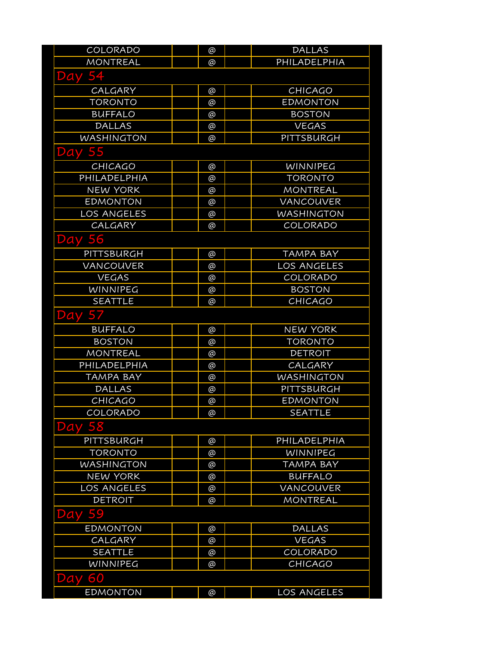| COLORADO          | @        | <b>DALLAS</b>      |
|-------------------|----------|--------------------|
| <b>MONTREAL</b>   | @        | PHILADELPHIA       |
| 54<br>Day         |          |                    |
| <b>CALGARY</b>    | @        | <b>CHICAGO</b>     |
| <b>TORONTO</b>    | @        | <b>EDMONTON</b>    |
| <b>BUFFALO</b>    | @        | <b>BOSTON</b>      |
| <b>DALLAS</b>     | @        | <b>VEGAS</b>       |
| <b>WASHINGTON</b> | @        | PITTSBURGH         |
| <b>Day 55</b>     |          |                    |
| CHICAGO           | @        | WINNIPEG           |
| PHILADELPHIA      | @        | <b>TORONTO</b>     |
| <b>NEW YORK</b>   | @        | <b>MONTREAL</b>    |
| <b>EDMONTON</b>   | @        | <b>VANCOUVER</b>   |
| LOS ANGELES       | @        | <b>WASHINGTON</b>  |
| CALGARY           | @        | COLORADO           |
| <b>Day 56</b>     |          |                    |
| PITTSBURGH        | @        | <b>TAMPA BAY</b>   |
| <b>VANCOUVER</b>  | @        | <b>LOS ANGELES</b> |
| <b>VEGAS</b>      | @        | COLORADO           |
| <b>WINNIPEG</b>   | @        | <b>BOSTON</b>      |
| <b>SEATTLE</b>    | $\omega$ | <b>CHICAGO</b>     |
| Day 57            |          |                    |
| <b>BUFFALO</b>    | @        | <b>NEW YORK</b>    |
| <b>BOSTON</b>     | @        | <b>TORONTO</b>     |
| <b>MONTREAL</b>   | @        | <b>DETROIT</b>     |
| PHILADELPHIA      | @        | CALGARY            |
| <b>TAMPA BAY</b>  | @        | <b>WASHINGTON</b>  |
| <b>DALLAS</b>     | $\omega$ | PITTSBURGH         |
| <b>CHICAGO</b>    | @        | <b>EDMONTON</b>    |
| COLORADO          | @        | <b>SEATTLE</b>     |
| 58<br>Day         |          |                    |
| PITTSBURGH        | @        | PHILADELPHIA       |
| <b>TORONTO</b>    | @        | <b>WINNIPEG</b>    |
| <b>WASHINGTON</b> | @        | TAMPA BAY          |
| <b>NEW YORK</b>   | @        | <b>BUFFALO</b>     |
| LOS ANGELES       | @        | <b>VANCOUVER</b>   |
| <b>DETROIT</b>    | @        | <b>MONTREAL</b>    |
| 59<br>Day         |          |                    |
| <b>EDMONTON</b>   | @        | <b>DALLAS</b>      |
| CALGARY           | $\omega$ | <b>VEGAS</b>       |
| <b>SEATTLE</b>    | @        | COLORADO           |
| WINNIPEG          | @        | <b>CHICAGO</b>     |
| 60<br>Day         |          |                    |
| <b>EDMONTON</b>   | $\omega$ | LOS ANGELES        |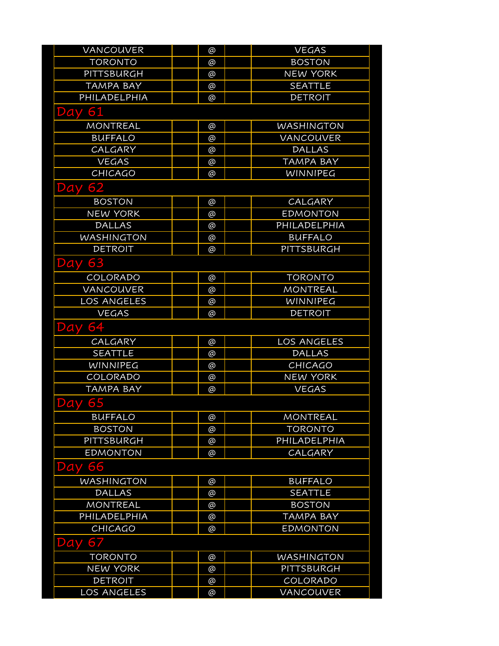| VANCOUVER          | @        | <b>VEGAS</b>      |
|--------------------|----------|-------------------|
| <b>TORONTO</b>     | @        | <b>BOSTON</b>     |
| PITTSBURGH         | @        | <b>NEW YORK</b>   |
| <b>TAMPA BAY</b>   | $\omega$ | <b>SEATTLE</b>    |
| PHILADELPHIA       | @        | <b>DETROIT</b>    |
| 61<br>Day          |          |                   |
| <b>MONTREAL</b>    | @        | <b>WASHINGTON</b> |
| <b>BUFFALO</b>     | @        | VANCOUVER         |
| CALGARY            | @        | <b>DALLAS</b>     |
| <b>VEGAS</b>       | @        | <b>TAMPA BAY</b>  |
| CHICAGO            | @        | WINNIPEG          |
| <b>Day 62</b>      |          |                   |
| <b>BOSTON</b>      | @        | CALGARY           |
| <b>NEW YORK</b>    | @        | <b>EDMONTON</b>   |
| <b>DALLAS</b>      | @        | PHILADELPHIA      |
| <b>WASHINGTON</b>  | @        | <b>BUFFALO</b>    |
| <b>DETROIT</b>     | @        | PITTSBURGH        |
| 63<br>Day          |          |                   |
| COLORADO           | @        | <b>TORONTO</b>    |
| VANCOUVER          | @        | <b>MONTREAL</b>   |
| <b>LOS ANGELES</b> | @        | WINNIPEG          |
| <b>VEGAS</b>       | @        | <b>DETROIT</b>    |
| 64<br>Day          |          |                   |
| CALGARY            | @        | LOS ANGELES       |
| <b>SEATTLE</b>     | @        | <b>DALLAS</b>     |
| <b>WINNIPEG</b>    | @        | CHICAGO           |
| COLORADO           | @        | <b>NEW YORK</b>   |
| <b>TAMPA BAY</b>   | @        | <b>VEGAS</b>      |
| <b>Day 65</b>      |          |                   |
| <b>BUFFALO</b>     | @        | <b>MONTREAL</b>   |
| <b>BOSTON</b>      | @        | <b>TORONTO</b>    |
| PITTSBURGH         | @        | PHILADELPHIA      |
| <b>EDMONTON</b>    | $\omega$ | CALGARY           |
| 66<br>Day          |          |                   |
| <b>WASHINGTON</b>  | @        | <b>BUFFALO</b>    |
| <b>DALLAS</b>      | $\omega$ | <b>SEATTLE</b>    |
| <b>MONTREAL</b>    | @        | <b>BOSTON</b>     |
| PHILADELPHIA       | @        | <b>TAMPA BAY</b>  |
| <b>CHICAGO</b>     | @        | <b>EDMONTON</b>   |
| 67<br>Day          |          |                   |
| <b>TORONTO</b>     | @        | <b>WASHINGTON</b> |
| <b>NEW YORK</b>    | @        | PITTSBURGH        |
| <b>DETROIT</b>     | @        | COLORADO          |
| LOS ANGELES        | @        | VANCOUVER         |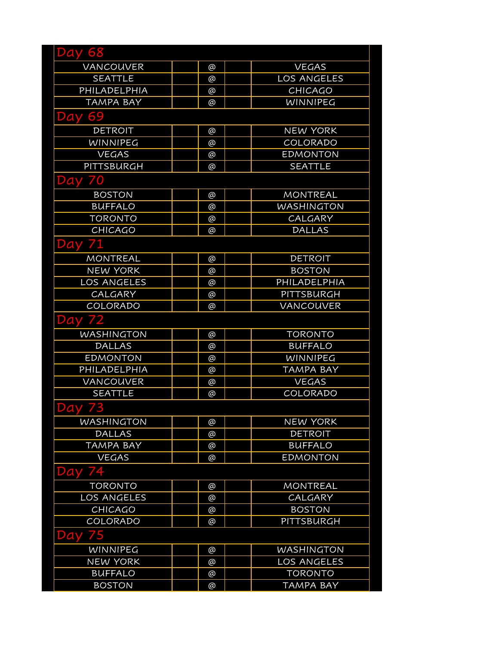| <b>Day 68</b>      |          |                    |
|--------------------|----------|--------------------|
| VANCOUVER          | @        | <b>VEGAS</b>       |
| <b>SEATTLE</b>     | $\omega$ | <b>LOS ANGELES</b> |
| PHILADELPHIA       | @        | <b>CHICAGO</b>     |
| <b>TAMPA BAY</b>   | @        | WINNIPEG           |
| 69<br>Day          |          |                    |
| <b>DETROIT</b>     | @        | <b>NEW YORK</b>    |
| <b>WINNIPEG</b>    | @        | COLORADO           |
| <b>VEGAS</b>       | @        | <b>EDMONTON</b>    |
| PITTSBURGH         | @        | <b>SEATTLE</b>     |
| <b>Day 70</b>      |          |                    |
| <b>BOSTON</b>      | @        | <b>MONTREAL</b>    |
| <b>BUFFALO</b>     | @        | WASHINGTON         |
| <b>TORONTO</b>     | @        | CALGARY            |
| <b>CHICAGO</b>     | ര        | <b>DALLAS</b>      |
| <b>Day 71</b>      |          |                    |
| <b>MONTREAL</b>    | @        | <b>DETROIT</b>     |
| <b>NEW YORK</b>    | @        | <b>BOSTON</b>      |
| <b>LOS ANGELES</b> | @        | PHILADELPHIA       |
| CALGARY            | @        | PITTSBURGH         |
| COLORADO           | @        | VANCOUVER          |
| <b>Day 72</b>      |          |                    |
| WASHINGTON         | @        | <b>TORONTO</b>     |
| <b>DALLAS</b>      | @        | <b>BUFFALO</b>     |
| <b>EDMONTON</b>    | @        | WINNIPEG           |
| PHILADELPHIA       | @        | TAMPA BAY          |
| VANCOUVER          | @        | <b>VEGAS</b>       |
| <b>SEATTLE</b>     | @        | COLORADO           |
| <b>Day 73</b>      |          |                    |
| <b>WASHINGTON</b>  | @        | <b>NEW YORK</b>    |
| <b>DALLAS</b>      | @        | <b>DETROIT</b>     |
| <b>TAMPA BAY</b>   | @        | <b>BUFFALO</b>     |
| <b>VEGAS</b>       | @        | <b>EDMONTON</b>    |
| <b>Day 74</b>      |          |                    |
| <b>TORONTO</b>     | @        | <b>MONTREAL</b>    |
| <b>LOS ANGELES</b> | @        | CALGARY            |
| CHICAGO            | @        | <b>BOSTON</b>      |
| COLORADO           | @        | PITTSBURGH         |
| 75<br>Day          |          |                    |
| <b>WINNIPEG</b>    | @        | <b>WASHINGTON</b>  |
| <b>NEW YORK</b>    | @        | <b>LOS ANGELES</b> |
| <b>BUFFALO</b>     | @        | <b>TORONTO</b>     |
| <b>BOSTON</b>      | @        | <b>TAMPA BAY</b>   |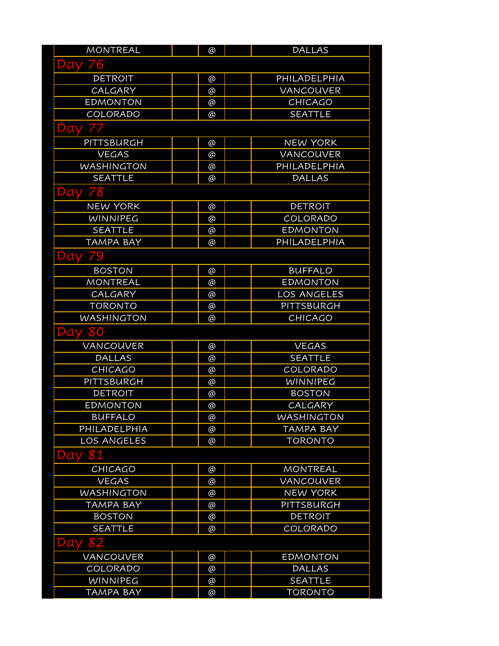| <b>MONTREAL</b>    | @        | <b>DALLAS</b>      |
|--------------------|----------|--------------------|
| 6<br>Day           |          |                    |
| <b>DETROIT</b>     | @        | PHILADELPHIA       |
| CALGARY            | @        | VANCOUVER          |
| <b>EDMONTON</b>    | @        | <b>CHICAGO</b>     |
| COLORADO           | @        | <b>SEATTLE</b>     |
| <b>Day 77</b>      |          |                    |
| PITTSBURGH         | @        | <b>NEW YORK</b>    |
| <b>VEGAS</b>       | $\omega$ | <b>VANCOUVER</b>   |
| <b>WASHINGTON</b>  | @        | PHILADELPHIA       |
| <b>SEATTLE</b>     | @        | <b>DALLAS</b>      |
| <b>Day 78</b>      |          |                    |
| <b>NEW YORK</b>    | @        | <b>DETROIT</b>     |
| <b>WINNIPEG</b>    | @        | COLORADO           |
| <b>SEATTLE</b>     | @        | <b>EDMONTON</b>    |
| <b>TAMPA BAY</b>   | @        | PHILADELPHIA       |
| <b>Day 79</b>      |          |                    |
| <b>BOSTON</b>      | @        | <b>BUFFALO</b>     |
| <b>MONTREAL</b>    | @        | <b>EDMONTON</b>    |
| CALGARY            | @        | <b>LOS ANGELES</b> |
| <b>TORONTO</b>     | @        | <b>PITTSBURGH</b>  |
| <b>WASHINGTON</b>  | @        | <b>CHICAGO</b>     |
| Day 80             |          |                    |
| <b>VANCOUVER</b>   | @        | <b>VEGAS</b>       |
| <b>DALLAS</b>      | @        | <b>SEATTLE</b>     |
| <b>CHICAGO</b>     | $\omega$ | COLORADO           |
| PITTSBURGH         | @        | <b>WINNIPEG</b>    |
| <b>DETROIT</b>     | @        | <b>BOSTON</b>      |
| <b>EDMONTON</b>    | @        | CALGARY            |
| <b>BUFFALO</b>     | @        | <b>WASHINGTON</b>  |
| PHILADELPHIA       | @        | <b>TAMPA BAY</b>   |
| <b>LOS ANGELES</b> | @        | <b>TORONTO</b>     |
| 81<br>Day          |          |                    |
| <b>CHICAGO</b>     | @        | <b>MONTREAL</b>    |
| <b>VEGAS</b>       | @        | VANCOUVER          |
| <b>WASHINGTON</b>  | @        | <b>NEW YORK</b>    |
| <b>TAMPA BAY</b>   | @        | PITTSBURGH         |
| <b>BOSTON</b>      | @        | <b>DETROIT</b>     |
| <b>SEATTLE</b>     | @        | COLORADO           |
| 82<br>Day          |          |                    |
| <b>VANCOUVER</b>   | @        | <b>EDMONTON</b>    |
| COLORADO           | @        | <b>DALLAS</b>      |
| <b>WINNIPEG</b>    | @        | <b>SEATTLE</b>     |
| <b>TAMPA BAY</b>   | $\omega$ | <b>TORONTO</b>     |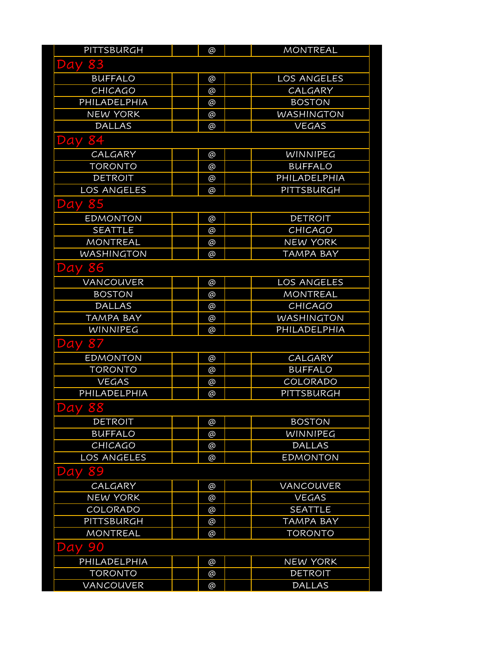| PITTSBURGH        | @ | <b>MONTREAL</b>   |  |
|-------------------|---|-------------------|--|
| <b>Day 83</b>     |   |                   |  |
| <b>BUFFALO</b>    | @ | LOS ANGELES       |  |
| CHICAGO           | @ | CALGARY           |  |
| PHILADELPHIA      | @ | <b>BOSTON</b>     |  |
| <b>NEW YORK</b>   | @ | <b>WASHINGTON</b> |  |
| <b>DALLAS</b>     | @ | <b>VEGAS</b>      |  |
| <b>Day 84</b>     |   |                   |  |
| CALGARY           | @ | WINNIPEG          |  |
| <b>TORONTO</b>    | @ | <b>BUFFALO</b>    |  |
| <b>DETROIT</b>    | @ | PHILADELPHIA      |  |
| LOS ANGELES       | @ | PITTSBURGH        |  |
| 85<br>Day         |   |                   |  |
| <b>EDMONTON</b>   | @ | <b>DETROIT</b>    |  |
| <b>SEATTLE</b>    | @ | <b>CHICAGO</b>    |  |
| <b>MONTREAL</b>   | @ | <b>NEW YORK</b>   |  |
| <b>WASHINGTON</b> | @ | <b>TAMPA BAY</b>  |  |
| <b>Day 86</b>     |   |                   |  |
| VANCOUVER         | @ | LOS ANGELES       |  |
| <b>BOSTON</b>     | @ | MONTREAL          |  |
| <b>DALLAS</b>     | @ | <b>CHICAGO</b>    |  |
| TAMPA BAY         | @ | <b>WASHINGTON</b> |  |
| WINNIPEG          | @ | PHILADELPHIA      |  |
| <b>Day 87</b>     |   |                   |  |
| <b>EDMONTON</b>   | @ | CALGARY           |  |
| <b>TORONTO</b>    | @ | <b>BUFFALO</b>    |  |
| <b>VEGAS</b>      | @ | COLORADO          |  |
| PHILADELPHIA      | @ | PITTSBURGH        |  |
| <b>Day 88</b>     |   |                   |  |
| <b>DETROIT</b>    | @ | <b>BOSTON</b>     |  |
| <b>BUFFALO</b>    | @ | WINNIPEG          |  |
| CHICAGO           | @ | <b>DALLAS</b>     |  |
| LOS ANGELES       | @ | <b>EDMONTON</b>   |  |
| 89<br>Day         |   |                   |  |
| <b>CALGARY</b>    | @ | VANCOUVER         |  |
| <b>NEW YORK</b>   | @ | <b>VEGAS</b>      |  |
| COLORADO          | @ | <b>SEATTLE</b>    |  |
| PITTSBURGH        | @ | <b>TAMPA BAY</b>  |  |
| <b>MONTREAL</b>   | @ | <b>TORONTO</b>    |  |
| 90<br>Day         |   |                   |  |
| PHILADELPHIA      | @ | <b>NEW YORK</b>   |  |
| <b>TORONTO</b>    | @ | <b>DETROIT</b>    |  |
| <b>VANCOUVER</b>  | @ | <b>DALLAS</b>     |  |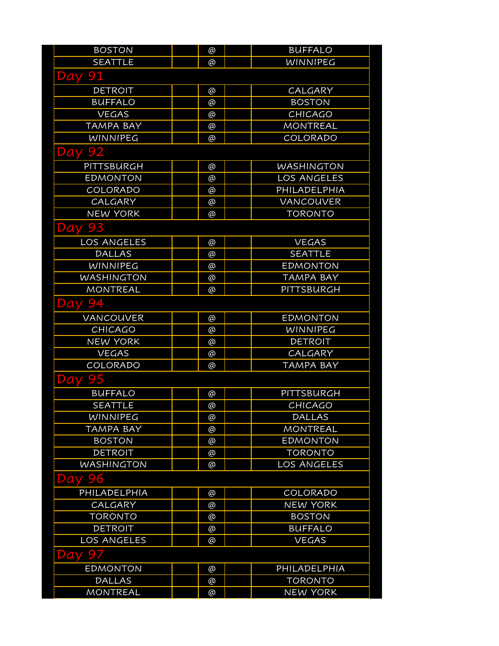| <b>BOSTON</b>      | @        | <b>BUFFALO</b>     |
|--------------------|----------|--------------------|
| <b>SEATTLE</b>     | @        | <b>WINNIPEG</b>    |
| <b>Day 91</b>      |          |                    |
| <b>DETROIT</b>     | @        | CALGARY            |
| <b>BUFFALO</b>     | @        | <b>BOSTON</b>      |
| <b>VEGAS</b>       | @        | <b>CHICAGO</b>     |
| <b>TAMPA BAY</b>   | @        | <b>MONTREAL</b>    |
| <b>WINNIPEG</b>    | @        | COLORADO           |
| <b>Day 92</b>      |          |                    |
| PITTSBURGH         | @        | <b>WASHINGTON</b>  |
| <b>EDMONTON</b>    | @        | LOS ANGELES        |
| COLORADO           | @        | PHILADELPHIA       |
| CALGARY            | @        | VANCOUVER          |
| <b>NEW YORK</b>    | @        | <b>TORONTO</b>     |
| <b>Day 93</b>      |          |                    |
| LOS ANGELES        | @        | <b>VEGAS</b>       |
| <b>DALLAS</b>      | @        | <b>SEATTLE</b>     |
| <b>WINNIPEG</b>    | @        | <b>EDMONTON</b>    |
| <b>WASHINGTON</b>  | @        | <b>TAMPA BAY</b>   |
| <b>MONTREAL</b>    | @        | PITTSBURGH         |
| <b>Day 94</b>      |          |                    |
| <b>VANCOUVER</b>   | @        | <b>EDMONTON</b>    |
| <b>CHICAGO</b>     | @        | <b>WINNIPEG</b>    |
| <b>NEW YORK</b>    | @        | <b>DETROIT</b>     |
| <b>VEGAS</b>       | @        | CALGARY            |
| COLORADO           | @        | <b>TAMPA BAY</b>   |
| <b>Day 95</b>      |          |                    |
| <b>BUFFALO</b>     | @        | PITTSBURGH         |
| <b>SEATTLE</b>     | @        | <b>CHICAGO</b>     |
| <b>WINNIPEG</b>    | @        | <b>DALLAS</b>      |
| <b>TAMPA BAY</b>   | @        | <b>MONTREAL</b>    |
| <b>BOSTON</b>      | @        | <b>EDMONTON</b>    |
| <b>DETROIT</b>     | @        | <b>TORONTO</b>     |
| <b>WASHINGTON</b>  | @        | <b>LOS ANGELES</b> |
| 96<br>Day          |          |                    |
| PHILADELPHIA       | @        | COLORADO           |
| CALGARY            | @        | <b>NEW YORK</b>    |
| <b>TORONTO</b>     | @        | <b>BOSTON</b>      |
| DETROIT            | @        | <b>BUFFALO</b>     |
| <b>LOS ANGELES</b> | $\omega$ | <b>VEGAS</b>       |
| Day 97             |          |                    |
| <b>EDMONTON</b>    | @        | PHILADELPHIA       |
| <b>DALLAS</b>      | @        | <b>TORONTO</b>     |
| <b>MONTREAL</b>    | $\omega$ | <b>NEW YORK</b>    |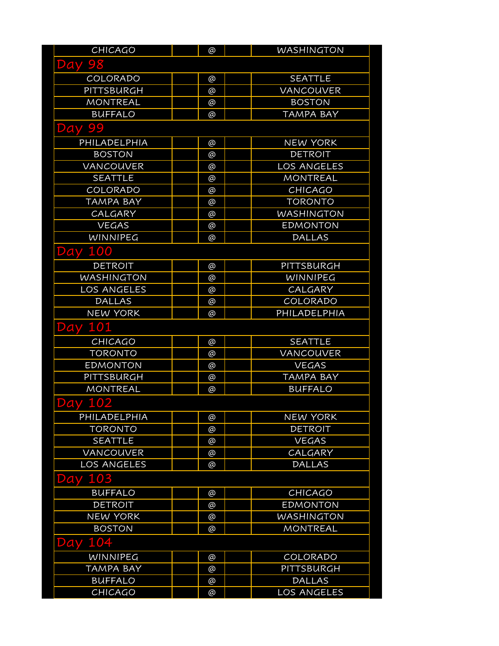| <b>CHICAGO</b>     | @ | <b>WASHINGTON</b> |
|--------------------|---|-------------------|
| <b>Day 98</b>      |   |                   |
| <b>COLORADO</b>    | @ | <b>SEATTLE</b>    |
| <b>PITTSBURGH</b>  | @ | VANCOUVER         |
| <b>MONTREAL</b>    | @ | <b>BOSTON</b>     |
| <b>BUFFALO</b>     | @ | <b>TAMPA BAY</b>  |
| <b>Day 99</b>      |   |                   |
| PHILADELPHIA       | @ | <b>NEW YORK</b>   |
| <b>BOSTON</b>      | @ | <b>DETROIT</b>    |
| VANCOUVER          | @ | LOS ANGELES       |
| <b>SEATTLE</b>     | @ | MONTREAL          |
| COLORADO           | @ | <b>CHICAGO</b>    |
| <b>TAMPA BAY</b>   | @ | <b>TORONTO</b>    |
| CALGARY            | @ | <b>WASHINGTON</b> |
| <b>VEGAS</b>       | @ | <b>EDMONTON</b>   |
| <b>WINNIPEG</b>    | @ | <b>DALLAS</b>     |
| <b>Day 100</b>     |   |                   |
| <b>DETROIT</b>     | @ | PITTSBURGH        |
| <b>WASHINGTON</b>  | @ | WINNIPEG          |
| LOS ANGELES        | @ | CALGARY           |
| <b>DALLAS</b>      | @ | COLORADO          |
| <b>NEW YORK</b>    | @ | PHILADELPHIA      |
| <b>Day 101</b>     |   |                   |
| <b>CHICAGO</b>     | @ | <b>SEATTLE</b>    |
| <b>TORONTO</b>     | @ | VANCOUVER         |
| <b>EDMONTON</b>    | @ | <b>VEGAS</b>      |
| PITTSBURGH         | @ | <b>TAMPA BAY</b>  |
| <b>MONTREAL</b>    | @ | <b>BUFFALO</b>    |
| <b>Day 102</b>     |   |                   |
| PHILADELPHIA       | @ | <b>NEW YORK</b>   |
| <b>TORONTO</b>     | @ | <b>DETROIT</b>    |
| <b>SEATTLE</b>     | @ | <b>VEGAS</b>      |
| VANCOUVER          | @ | CALGARY           |
| <b>LOS ANGELES</b> | @ | <b>DALLAS</b>     |
| 103<br>Day         |   |                   |
| <b>BUFFALO</b>     | @ | <b>CHICAGO</b>    |
| <b>DETROIT</b>     | @ | <b>EDMONTON</b>   |
| <b>NEW YORK</b>    | @ | <b>WASHINGTON</b> |
| <b>BOSTON</b>      | @ | <b>MONTREAL</b>   |
| 104<br>Day         |   |                   |
| <b>WINNIPEG</b>    | @ | COLORADO          |
| <b>TAMPA BAY</b>   | @ | PITTSBURGH        |
| <b>BUFFALO</b>     | @ | <b>DALLAS</b>     |
| CHICAGO            | @ | LOS ANGELES       |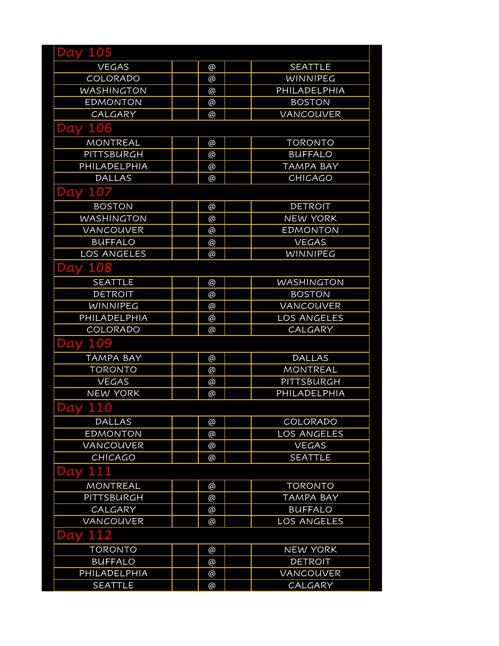| <b>Day 105</b>    |   |                    |
|-------------------|---|--------------------|
| <b>VEGAS</b>      | @ | <b>SEATTLE</b>     |
| COLORADO          | @ | WINNIPEG           |
| <b>WASHINGTON</b> | @ | PHILADELPHIA       |
| <b>EDMONTON</b>   | @ | <b>BOSTON</b>      |
| CALGARY           | @ | VANCOUVER          |
| <b>Day 106</b>    |   |                    |
| <b>MONTREAL</b>   | @ | <b>TORONTO</b>     |
| PITTSBURGH        | @ | <b>BUFFALO</b>     |
| PHILADELPHIA      | @ | <b>TAMPA BAY</b>   |
| <b>DALLAS</b>     | @ | <b>CHICAGO</b>     |
| <b>Day 107</b>    |   |                    |
| <b>BOSTON</b>     | @ | <b>DETROIT</b>     |
| <b>WASHINGTON</b> | @ | <b>NEW YORK</b>    |
| <b>VANCOUVER</b>  | @ | <b>EDMONTON</b>    |
| <b>BUFFALO</b>    | @ | <b>VEGAS</b>       |
| LOS ANGELES       | @ | WINNIPEG           |
| <b>Day 108</b>    |   |                    |
| <b>SEATTLE</b>    | @ | <b>WASHINGTON</b>  |
| <b>DETROIT</b>    | @ | <b>BOSTON</b>      |
| WINNIPEG          | @ | <b>VANCOUVER</b>   |
| PHILADELPHIA      | @ | LOS ANGELES        |
| COLORADO          | @ | CALGARY            |
| <b>Day 109</b>    |   |                    |
| <b>TAMPA BAY</b>  | @ | <b>DALLAS</b>      |
| <b>TORONTO</b>    | @ | <b>MONTREAL</b>    |
| <b>VEGAS</b>      | @ | PITTSBURGH         |
| <b>NEW YORK</b>   | @ | PHILADELPHIA       |
| <b>Day 110</b>    |   |                    |
| <b>DALLAS</b>     | @ | COLORADO           |
| <b>EDMONTON</b>   | @ | <b>LOS ANGELES</b> |
| VANCOUVER         | @ | <b>VEGAS</b>       |
| <b>CHICAGO</b>    | @ | <b>SEATTLE</b>     |
| Day 111           |   |                    |
| <b>MONTREAL</b>   | @ | <b>TORONTO</b>     |
| PITTSBURGH        | @ | <b>TAMPA BAY</b>   |
| CALGARY           | @ | <b>BUFFALO</b>     |
| VANCOUVER         | @ | LOS ANGELES        |
| 112<br>Day        |   |                    |
| <b>TORONTO</b>    | @ | <b>NEW YORK</b>    |
| <b>BUFFALO</b>    | @ | <b>DETROIT</b>     |
| PHILADELPHIA      | @ | <b>VANCOUVER</b>   |
| <b>SEATTLE</b>    | @ | CALGARY            |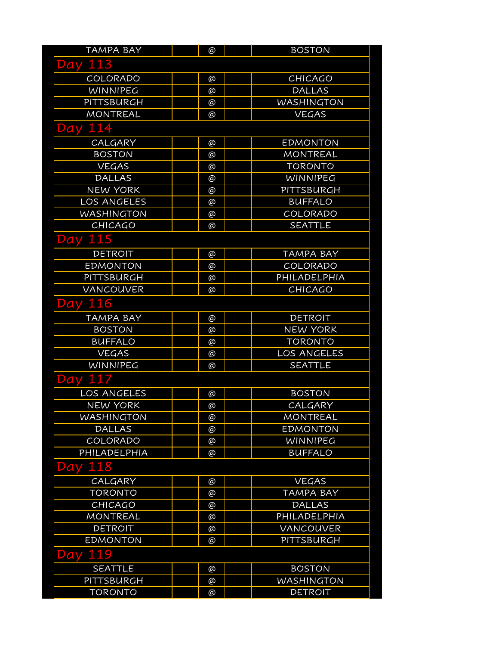| TAMPA BAY         | @ | <b>BOSTON</b>     |
|-------------------|---|-------------------|
| <b>Day 113</b>    |   |                   |
| COLORADO          | @ | <b>CHICAGO</b>    |
| <b>WINNIPEG</b>   | @ | <b>DALLAS</b>     |
| PITTSBURGH        | @ | <b>WASHINGTON</b> |
| <b>MONTREAL</b>   | ര | <b>VEGAS</b>      |
| 114<br>Day        |   |                   |
| CALGARY           | @ | <b>EDMONTON</b>   |
| <b>BOSTON</b>     | @ | <b>MONTREAL</b>   |
| <b>VEGAS</b>      | @ | <b>TORONTO</b>    |
| <b>DALLAS</b>     | @ | WINNIPEG          |
| <b>NEW YORK</b>   | @ | PITTSBURGH        |
| LOS ANGELES       | @ | <b>BUFFALO</b>    |
| <b>WASHINGTON</b> | @ | COLORADO          |
| CHICAGO           | @ | <b>SEATTLE</b>    |
| <b>Day 115</b>    |   |                   |
| <b>DETROIT</b>    | @ | <b>TAMPA BAY</b>  |
| <b>EDMONTON</b>   | @ | COLORADO          |
| PITTSBURGH        | @ | PHILADELPHIA      |
| <b>VANCOUVER</b>  | @ | <b>CHICAGO</b>    |
| <b>Day 116</b>    |   |                   |
| <b>TAMPA BAY</b>  | @ | <b>DETROIT</b>    |
| <b>BOSTON</b>     | @ | <b>NEW YORK</b>   |
| <b>BUFFALO</b>    | @ | <b>TORONTO</b>    |
| <b>VEGAS</b>      | @ | LOS ANGELES       |
| WINNIPEG          | @ | <b>SEATTLE</b>    |
| <b>Day 117</b>    |   |                   |
| LOS ANGELES       | @ | <b>BOSTON</b>     |
| <b>NEW YORK</b>   | @ | CALGARY           |
| <b>WASHINGTON</b> | @ | MONTREAL          |
| <b>DALLAS</b>     | @ | <b>EDMONTON</b>   |
| COLORADO          | @ | WINNIPEG          |
| PHILADELPHIA      | @ | <b>BUFFALO</b>    |
| Day 118           |   |                   |
| CALGARY           | @ | <b>VEGAS</b>      |
| <b>TORONTO</b>    | @ | <b>TAMPA BAY</b>  |
| <b>CHICAGO</b>    | @ | <b>DALLAS</b>     |
| <b>MONTREAL</b>   | @ | PHILADELPHIA      |
| <b>DETROIT</b>    | @ | <b>VANCOUVER</b>  |
| <b>EDMONTON</b>   | @ | PITTSBURGH        |
| 119<br>Day        |   |                   |
| <b>SEATTLE</b>    | @ | <b>BOSTON</b>     |
| PITTSBURGH        | @ | <b>WASHINGTON</b> |
| <b>TORONTO</b>    | @ | <b>DETROIT</b>    |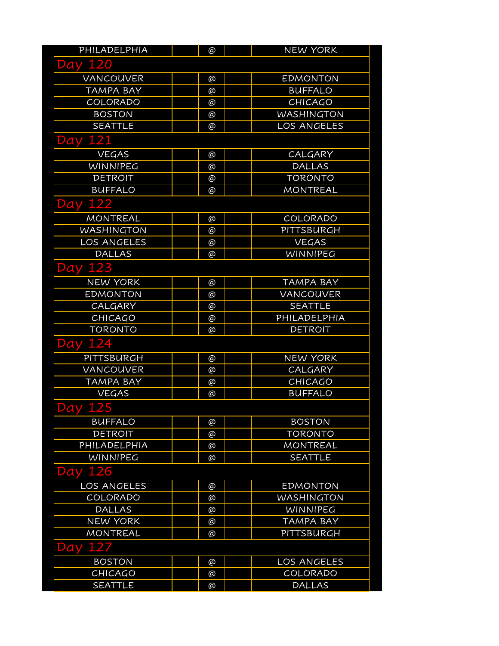| PHILADELPHIA       | @ | <b>NEW YORK</b>    |
|--------------------|---|--------------------|
| <b>Day 120</b>     |   |                    |
| <b>VANCOUVER</b>   | @ | <b>EDMONTON</b>    |
| TAMPA BAY          | @ | <b>BUFFALO</b>     |
| COLORADO           | @ | <b>CHICAGO</b>     |
| <b>BOSTON</b>      | @ | <b>WASHINGTON</b>  |
| <b>SEATTLE</b>     | @ | LOS ANGELES        |
| <b>Day 121</b>     |   |                    |
| <b>VEGAS</b>       | @ | CALGARY            |
| <b>WINNIPEG</b>    | @ | <b>DALLAS</b>      |
| <b>DETROIT</b>     | @ | <b>TORONTO</b>     |
| <b>BUFFALO</b>     | @ | <b>MONTREAL</b>    |
| <b>Day 122</b>     |   |                    |
| <b>MONTREAL</b>    | @ | COLORADO           |
| <b>WASHINGTON</b>  | @ | PITTSBURGH         |
| LOS ANGELES        | @ | <b>VEGAS</b>       |
| <b>DALLAS</b>      | @ | WINNIPEG           |
| <b>Day 123</b>     |   |                    |
| <b>NEW YORK</b>    | @ | <b>TAMPA BAY</b>   |
| <b>EDMONTON</b>    | @ | <b>VANCOUVER</b>   |
| CALGARY            | @ | <b>SEATTLE</b>     |
| <b>CHICAGO</b>     | @ | PHILADELPHIA       |
| <b>TORONTO</b>     | @ | <b>DETROIT</b>     |
| <b>Day 124</b>     |   |                    |
| PITTSBURGH         | @ | <b>NEW YORK</b>    |
| <b>VANCOUVER</b>   | @ | CALGARY            |
| <b>TAMPA BAY</b>   | @ | CHICAGO            |
| <b>VEGAS</b>       | @ | <b>BUFFALO</b>     |
| <b>Day 125</b>     |   |                    |
| <b>BUFFALO</b>     | @ | <b>BOSTON</b>      |
| <b>DETROIT</b>     | @ | <b>TORONTO</b>     |
| PHILADELPHIA       | @ | <b>MONTREAL</b>    |
| <b>WINNIPEG</b>    | @ | <b>SEATTLE</b>     |
| <b>Day 126</b>     |   |                    |
| <b>LOS ANGELES</b> | @ | <b>EDMONTON</b>    |
| COLORADO           | @ | <b>WASHINGTON</b>  |
| <b>DALLAS</b>      | @ | WINNIPEG           |
| <b>NEW YORK</b>    | @ | <b>TAMPA BAY</b>   |
| <b>MONTREAL</b>    | @ | PITTSBURGH         |
| 127<br>Day         |   |                    |
| <b>BOSTON</b>      | @ | <b>LOS ANGELES</b> |
| <b>CHICAGO</b>     | @ | COLORADO           |
| <b>SEATTLE</b>     | @ | <b>DALLAS</b>      |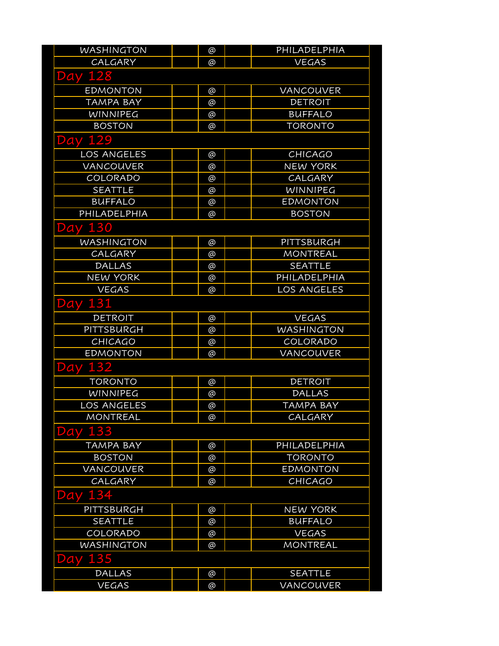| WASHINGTON        | @        | PHILADELPHIA      |
|-------------------|----------|-------------------|
| CALGARY           | @        | <b>VEGAS</b>      |
| <b>Day 128</b>    |          |                   |
| <b>EDMONTON</b>   | @        | <b>VANCOUVER</b>  |
| <b>TAMPA BAY</b>  | @        | <b>DETROIT</b>    |
| WINNIPEG          | @        | <b>BUFFALO</b>    |
| <b>BOSTON</b>     | @        | <b>TORONTO</b>    |
| <b>Day 129</b>    |          |                   |
| LOS ANGELES       | @        | <b>CHICAGO</b>    |
| VANCOUVER         | @        | <b>NEW YORK</b>   |
| COLORADO          | @        | CALGARY           |
| <b>SEATTLE</b>    | @        | WINNIPEG          |
| <b>BUFFALO</b>    | @        | <b>EDMONTON</b>   |
| PHILADELPHIA      | @        | <b>BOSTON</b>     |
| <b>Day 130</b>    |          |                   |
| <b>WASHINGTON</b> | @        | PITTSBURGH        |
| CALGARY           | @        | <b>MONTREAL</b>   |
| <b>DALLAS</b>     | @        | <b>SEATTLE</b>    |
| <b>NEW YORK</b>   | @        | PHILADELPHIA      |
| <b>VEGAS</b>      | @        | LOS ANGELES       |
| 131<br>Day        |          |                   |
| <b>DETROIT</b>    | @        | <b>VEGAS</b>      |
| PITTSBURGH        | @        | <b>WASHINGTON</b> |
| CHICAGO           | @        | COLORADO          |
| <b>EDMONTON</b>   | @        | VANCOUVER         |
| <b>Day 132</b>    |          |                   |
| <b>TORONTO</b>    | @        | <b>DETROIT</b>    |
| <b>WINNIPEG</b>   | @        | <b>DALLAS</b>     |
| LOS ANGELES       | @        | <b>TAMPA BAY</b>  |
| <b>MONTREAL</b>   | @        | CALGARY           |
| 133<br>Day        |          |                   |
| <b>TAMPA BAY</b>  | @        | PHILADELPHIA      |
| <b>BOSTON</b>     | @        | <b>TORONTO</b>    |
| VANCOUVER         | @        | <b>EDMONTON</b>   |
| CALGARY           | @        | <b>CHICAGO</b>    |
| Day               |          |                   |
| PITTSBURGH        | @        | <b>NEW YORK</b>   |
| <b>SEATTLE</b>    | @        | <b>BUFFALO</b>    |
| COLORADO          | $\omega$ | <b>VEGAS</b>      |
| <b>WASHINGTON</b> | @        | <b>MONTREAL</b>   |
| <b>Day 135</b>    |          |                   |
| <b>DALLAS</b>     | @        | <b>SEATTLE</b>    |
| <b>VEGAS</b>      | $\omega$ | VANCOUVER         |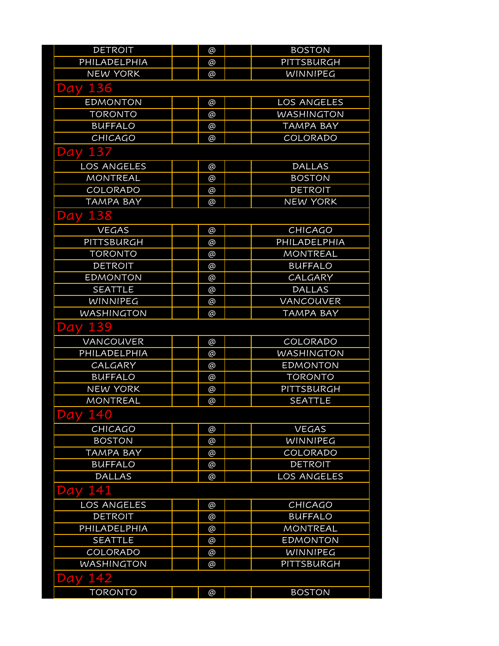| <b>DETROIT</b>    | @ | <b>BOSTON</b>      |
|-------------------|---|--------------------|
| PHILADELPHIA      | @ | PITTSBURGH         |
| <b>NEW YORK</b>   | ര | <b>WINNIPEG</b>    |
| <b>Day 136</b>    |   |                    |
| <b>EDMONTON</b>   | @ | <b>LOS ANGELES</b> |
| <b>TORONTO</b>    | @ | <b>WASHINGTON</b>  |
| <b>BUFFALO</b>    | @ | <b>TAMPA BAY</b>   |
| <b>CHICAGO</b>    | @ | COLORADO           |
| <b>Day 137</b>    |   |                    |
| LOS ANGELES       | @ | <b>DALLAS</b>      |
| <b>MONTREAL</b>   | @ | <b>BOSTON</b>      |
| <b>COLORADO</b>   | @ | <b>DETROIT</b>     |
| <b>TAMPA BAY</b>  | @ | <b>NEW YORK</b>    |
| <b>Day 138</b>    |   |                    |
| <b>VEGAS</b>      | @ | <b>CHICAGO</b>     |
| PITTSBURGH        | @ | PHILADELPHIA       |
| <b>TORONTO</b>    | @ | <b>MONTREAL</b>    |
| <b>DETROIT</b>    | @ | <b>BUFFALO</b>     |
| <b>EDMONTON</b>   | @ | <b>CALGARY</b>     |
| <b>SEATTLE</b>    | @ | <b>DALLAS</b>      |
| WINNIPEG          | @ | <b>VANCOUVER</b>   |
| <b>WASHINGTON</b> | @ | <b>TAMPA BAY</b>   |
| <b>Day 139</b>    |   |                    |
| <b>VANCOUVER</b>  | @ | COLORADO           |
| PHILADELPHIA      | @ | <b>WASHINGTON</b>  |
| <b>CALGARY</b>    | @ | <b>EDMONTON</b>    |
| <b>BUFFALO</b>    | @ | <b>TORONTO</b>     |
| <b>NEW YORK</b>   | @ | PITTSBURGH         |
| <b>MONTREAL</b>   | @ | <b>SEATTLE</b>     |
| 140<br>Day        |   |                    |
| CHICAGO           | @ | <b>VEGAS</b>       |
| <b>BOSTON</b>     | @ | WINNIPEG           |
| <b>TAMPA BAY</b>  | @ | COLORADO           |
| <b>BUFFALO</b>    | @ | <b>DETROIT</b>     |
| <b>DALLAS</b>     | @ | LOS ANGELES        |
| Day 141           |   |                    |
| LOS ANGELES       | @ | CHICAGO            |
| <b>DETROIT</b>    | @ | <b>BUFFALO</b>     |
| PHILADELPHIA      | @ | <b>MONTREAL</b>    |
| <b>SEATTLE</b>    | @ | <b>EDMONTON</b>    |
| COLORADO          | @ | <b>WINNIPEG</b>    |
| <b>WASHINGTON</b> | @ | PITTSBURGH         |
| 142<br>Day        |   |                    |
| <b>TORONTO</b>    | @ | <b>BOSTON</b>      |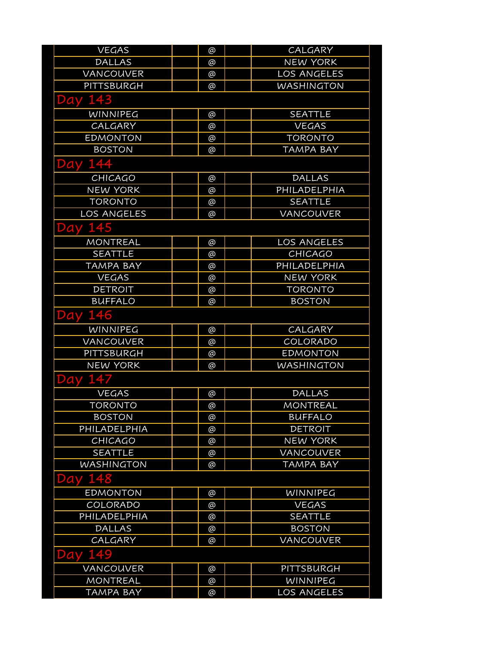| <b>VEGAS</b>       | @ | CALGARY            |
|--------------------|---|--------------------|
| <b>DALLAS</b>      | @ | <b>NEW YORK</b>    |
| VANCOUVER          | @ | LOS ANGELES        |
| PITTSBURGH         | @ | <b>WASHINGTON</b>  |
| <b>Day 143</b>     |   |                    |
| <b>WINNIPEG</b>    | @ | <b>SEATTLE</b>     |
| CALGARY            | @ | <b>VEGAS</b>       |
| <b>EDMONTON</b>    | @ | <b>TORONTO</b>     |
| <b>BOSTON</b>      | @ | <b>TAMPA BAY</b>   |
| 144<br>Day         |   |                    |
| <b>CHICAGO</b>     | @ | <b>DALLAS</b>      |
| <b>NEW YORK</b>    | @ | PHILADELPHIA       |
| <b>TORONTO</b>     | @ | <b>SEATTLE</b>     |
| <b>LOS ANGELES</b> | @ | <b>VANCOUVER</b>   |
| 145<br>Day         |   |                    |
| <b>MONTREAL</b>    | @ | LOS ANGELES        |
| <b>SEATTLE</b>     | @ | <b>CHICAGO</b>     |
| TAMPA BAY          | @ | PHILADELPHIA       |
| <b>VEGAS</b>       | @ | <b>NEW YORK</b>    |
| <b>DETROIT</b>     | @ | <b>TORONTO</b>     |
| <b>BUFFALO</b>     | @ | <b>BOSTON</b>      |
| <b>Day 146</b>     |   |                    |
| <b>WINNIPEG</b>    | @ | CALGARY            |
| VANCOUVER          | @ | COLORADO           |
| PITTSBURGH         | @ | <b>EDMONTON</b>    |
| <b>NEW YORK</b>    | @ | <b>WASHINGTON</b>  |
| Day 147            |   |                    |
| <b>VEGAS</b>       | @ | <b>DALLAS</b>      |
| <b>TORONTO</b>     | @ | <b>MONTREAL</b>    |
| <b>BOSTON</b>      | @ | <b>BUFFALO</b>     |
| PHILADELPHIA       | @ | <b>DETROIT</b>     |
| <b>CHICAGO</b>     | @ | <b>NEW YORK</b>    |
| <b>SEATTLE</b>     | @ | VANCOUVER          |
| <b>WASHINGTON</b>  | @ | <b>TAMPA BAY</b>   |
| 148<br>Day         |   |                    |
| <b>EDMONTON</b>    | @ | WINNIPEG           |
| COLORADO           | @ | <b>VEGAS</b>       |
| PHILADELPHIA       | @ | <b>SEATTLE</b>     |
| <b>DALLAS</b>      | @ | <b>BOSTON</b>      |
| CALGARY            | @ | VANCOUVER          |
| 149<br>Day         |   |                    |
| VANCOUVER          | @ | PITTSBURGH         |
| <b>MONTREAL</b>    | @ | WINNIPEG           |
| <b>TAMPA BAY</b>   | @ | <b>LOS ANGELES</b> |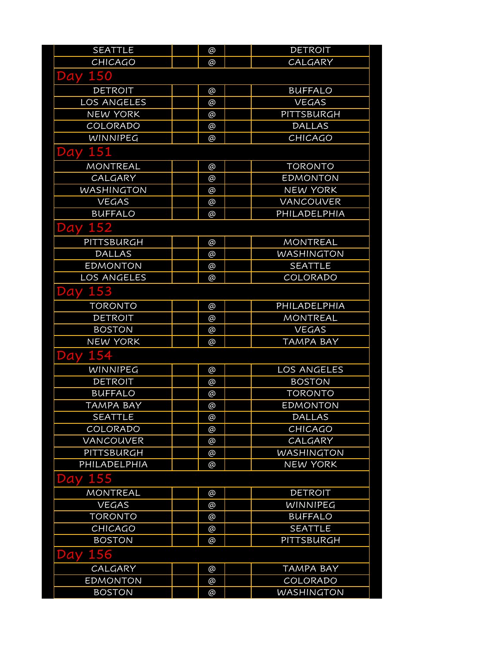| <b>SEATTLE</b>     | @ | <b>DETROIT</b>     |
|--------------------|---|--------------------|
| <b>CHICAGO</b>     | @ | CALGARY            |
| <b>Day 150</b>     |   |                    |
| <b>DETROIT</b>     | @ | <b>BUFFALO</b>     |
| <b>LOS ANGELES</b> | @ | <b>VEGAS</b>       |
| <b>NEW YORK</b>    | @ | PITTSBURGH         |
| COLORADO           | @ | <b>DALLAS</b>      |
| <b>WINNIPEG</b>    | @ | <b>CHICAGO</b>     |
| <b>Day 151</b>     |   |                    |
| <b>MONTREAL</b>    | @ | <b>TORONTO</b>     |
| CALGARY            | @ | <b>EDMONTON</b>    |
| <b>WASHINGTON</b>  | @ | <b>NEW YORK</b>    |
| <b>VEGAS</b>       | @ | VANCOUVER          |
| <b>BUFFALO</b>     | @ | PHILADELPHIA       |
| <b>Day 152</b>     |   |                    |
| PITTSBURGH         | @ | <b>MONTREAL</b>    |
| <b>DALLAS</b>      | @ | <b>WASHINGTON</b>  |
| <b>EDMONTON</b>    | @ | <b>SEATTLE</b>     |
| LOS ANGELES        | @ | COLORADO           |
| 153<br>Day         |   |                    |
| <b>TORONTO</b>     | @ | PHILADELPHIA       |
| <b>DETROIT</b>     | @ | <b>MONTREAL</b>    |
| <b>BOSTON</b>      | @ | <b>VEGAS</b>       |
| <b>NEW YORK</b>    | @ | TAMPA BAY          |
| <b>Day 154</b>     |   |                    |
| WINNIPEG           | @ | <b>LOS ANGELES</b> |
| <b>DETROIT</b>     | @ | <b>BOSTON</b>      |
| <b>BUFFALO</b>     | @ | <b>TORONTO</b>     |
| <b>TAMPA BAY</b>   | @ | <b>EDMONTON</b>    |
| <b>SEATTLE</b>     | @ | <b>DALLAS</b>      |
| COLORADO           | @ | <b>CHICAGO</b>     |
| <b>VANCOUVER</b>   | @ | CALGARY            |
| PITTSBURGH         | @ | <b>WASHINGTON</b>  |
| PHILADELPHIA       | @ | <b>NEW YORK</b>    |
| 155<br>Day         |   |                    |
| <b>MONTREAL</b>    | @ | <b>DETROIT</b>     |
| <b>VEGAS</b>       | @ | WINNIPEG           |
| <b>TORONTO</b>     | @ | <b>BUFFALO</b>     |
| CHICAGO            | @ | <b>SEATTLE</b>     |
| <b>BOSTON</b>      | @ | PITTSBURGH         |
| 156<br>Day         |   |                    |
| CALGARY            | @ | <b>TAMPA BAY</b>   |
| <b>EDMONTON</b>    | @ | COLORADO           |
| <b>BOSTON</b>      | @ | <b>WASHINGTON</b>  |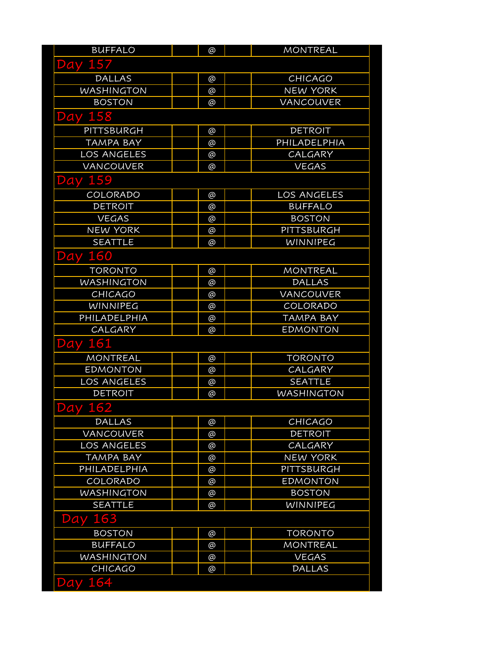| <b>BUFFALO</b>     | @ | <b>MONTREAL</b>   |
|--------------------|---|-------------------|
| <b>Day 157</b>     |   |                   |
| <b>DALLAS</b>      | @ | <b>CHICAGO</b>    |
| <b>WASHINGTON</b>  | @ | <b>NEW YORK</b>   |
| <b>BOSTON</b>      | @ | <b>VANCOUVER</b>  |
| <b>Day 158</b>     |   |                   |
| PITTSBURGH         | @ | <b>DETROIT</b>    |
| <b>TAMPA BAY</b>   | @ | PHILADELPHIA      |
| <b>LOS ANGELES</b> | @ | CALGARY           |
| VANCOUVER          | @ | <b>VEGAS</b>      |
| <b>Day 159</b>     |   |                   |
| COLORADO           | @ | LOS ANGELES       |
| <b>DETROIT</b>     | @ | <b>BUFFALO</b>    |
| <b>VEGAS</b>       | @ | <b>BOSTON</b>     |
| <b>NEW YORK</b>    | @ | PITTSBURGH        |
| <b>SEATTLE</b>     | @ | <b>WINNIPEG</b>   |
| <b>Day 160</b>     |   |                   |
| <b>TORONTO</b>     | @ | <b>MONTREAL</b>   |
| <b>WASHINGTON</b>  | @ | <b>DALLAS</b>     |
| <b>CHICAGO</b>     | @ | VANCOUVER         |
| <b>WINNIPEG</b>    | @ | COLORADO          |
| PHILADELPHIA       | @ | <b>TAMPA BAY</b>  |
| CALGARY            | @ | <b>EDMONTON</b>   |
| <b>Day 161</b>     |   |                   |
| <b>MONTREAL</b>    | @ | <b>TORONTO</b>    |
| <b>EDMONTON</b>    | @ | CALGARY           |
| LOS ANGELES        | @ | <b>SEATTLE</b>    |
| <b>DETROIT</b>     | @ | <b>WASHINGTON</b> |
| <b>Day 162</b>     |   |                   |
| <b>DALLAS</b>      | @ | <b>CHICAGO</b>    |
| <b>VANCOUVER</b>   | @ | <b>DETROIT</b>    |
| <b>LOS ANGELES</b> | @ | CALGARY           |
| <b>TAMPA BAY</b>   | @ | <b>NEW YORK</b>   |
| PHILADELPHIA       | @ | PITTSBURGH        |
| COLORADO           | @ | <b>EDMONTON</b>   |
| <b>WASHINGTON</b>  | @ | <b>BOSTON</b>     |
| <b>SEATTLE</b>     | @ | <b>WINNIPEG</b>   |
| 163<br>Day         |   |                   |
| <b>BOSTON</b>      | @ | <b>TORONTO</b>    |
| <b>BUFFALO</b>     | @ | <b>MONTREAL</b>   |
| <b>WASHINGTON</b>  | @ | <b>VEGAS</b>      |
| <b>CHICAGO</b>     | @ | <b>DALLAS</b>     |
| 164<br>Day         |   |                   |